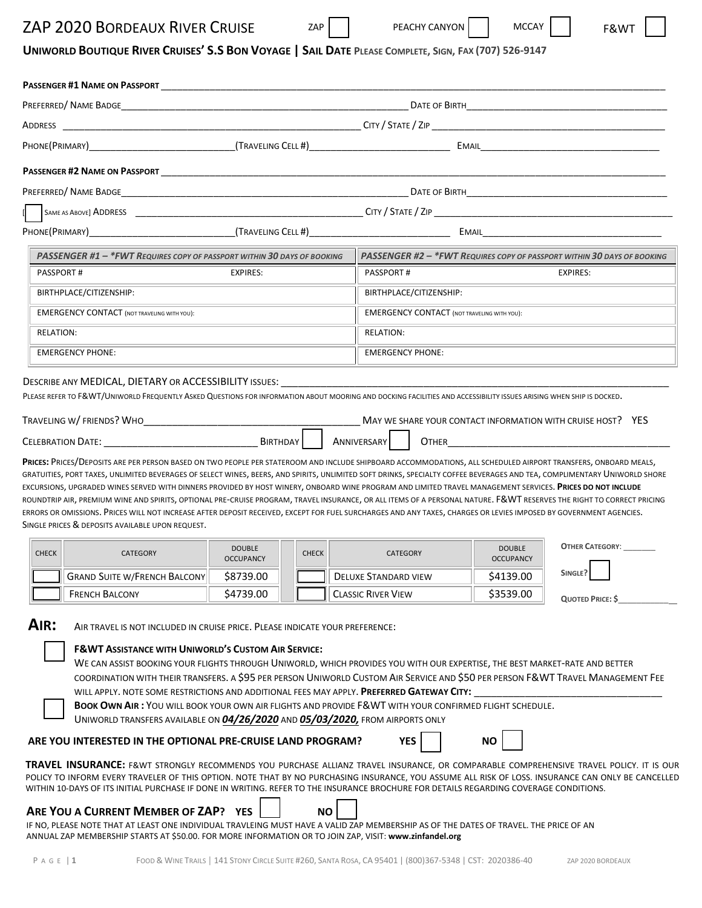## ZAP 2020 BORDEAUX RIVER CRUISE ZAP PEACHY CANYON MICCAY R&WT

PEACHY CANYON

# UNIWORLD BOUTIQUE RIVER CRUISES' S.S BON VOYAGE | SAIL DATE PLEASE COMPLETE, SIGN, FAX (707) 526-9147

| <b>PASSENGER #1 NAME ON PASSPORT</b>                                                                                                                                                                                                                                                                                                                                                                                                                                                                                                                                                                                                                                                                                                                                                                                                                                                                       |                                                                                                                                                                                                                                                                                      |              |                                                                                                                                                                                                                                                                                                                                                                                                                                                                                     |                                                                         |                        |  |  |
|------------------------------------------------------------------------------------------------------------------------------------------------------------------------------------------------------------------------------------------------------------------------------------------------------------------------------------------------------------------------------------------------------------------------------------------------------------------------------------------------------------------------------------------------------------------------------------------------------------------------------------------------------------------------------------------------------------------------------------------------------------------------------------------------------------------------------------------------------------------------------------------------------------|--------------------------------------------------------------------------------------------------------------------------------------------------------------------------------------------------------------------------------------------------------------------------------------|--------------|-------------------------------------------------------------------------------------------------------------------------------------------------------------------------------------------------------------------------------------------------------------------------------------------------------------------------------------------------------------------------------------------------------------------------------------------------------------------------------------|-------------------------------------------------------------------------|------------------------|--|--|
|                                                                                                                                                                                                                                                                                                                                                                                                                                                                                                                                                                                                                                                                                                                                                                                                                                                                                                            |                                                                                                                                                                                                                                                                                      |              |                                                                                                                                                                                                                                                                                                                                                                                                                                                                                     |                                                                         |                        |  |  |
|                                                                                                                                                                                                                                                                                                                                                                                                                                                                                                                                                                                                                                                                                                                                                                                                                                                                                                            |                                                                                                                                                                                                                                                                                      |              |                                                                                                                                                                                                                                                                                                                                                                                                                                                                                     |                                                                         |                        |  |  |
|                                                                                                                                                                                                                                                                                                                                                                                                                                                                                                                                                                                                                                                                                                                                                                                                                                                                                                            |                                                                                                                                                                                                                                                                                      |              |                                                                                                                                                                                                                                                                                                                                                                                                                                                                                     |                                                                         |                        |  |  |
| <b>PASSENGER #2 NAME ON PASSPORT</b>                                                                                                                                                                                                                                                                                                                                                                                                                                                                                                                                                                                                                                                                                                                                                                                                                                                                       |                                                                                                                                                                                                                                                                                      |              |                                                                                                                                                                                                                                                                                                                                                                                                                                                                                     |                                                                         |                        |  |  |
|                                                                                                                                                                                                                                                                                                                                                                                                                                                                                                                                                                                                                                                                                                                                                                                                                                                                                                            | <u> 1980 - John Stone, Amerikaansk politiker (</u><br>PREFERRED/NAME BADGE NAME AND THE SERVER SERVER THE SERVER STATE OF BIRTH THE SERVER SERVER SERVER SERVER SERVER SERVER SERVER SERVER SERVER SERVER SERVER SERVER SERVER SERVER SERVER SERVER SERVER SERVER SERVER SERVER SERV |              |                                                                                                                                                                                                                                                                                                                                                                                                                                                                                     |                                                                         |                        |  |  |
|                                                                                                                                                                                                                                                                                                                                                                                                                                                                                                                                                                                                                                                                                                                                                                                                                                                                                                            |                                                                                                                                                                                                                                                                                      |              |                                                                                                                                                                                                                                                                                                                                                                                                                                                                                     |                                                                         |                        |  |  |
|                                                                                                                                                                                                                                                                                                                                                                                                                                                                                                                                                                                                                                                                                                                                                                                                                                                                                                            |                                                                                                                                                                                                                                                                                      |              |                                                                                                                                                                                                                                                                                                                                                                                                                                                                                     |                                                                         |                        |  |  |
| PASSENGER #1 - *FWT REQUIRES COPY OF PASSPORT WITHIN 30 DAYS OF BOOKING                                                                                                                                                                                                                                                                                                                                                                                                                                                                                                                                                                                                                                                                                                                                                                                                                                    |                                                                                                                                                                                                                                                                                      |              |                                                                                                                                                                                                                                                                                                                                                                                                                                                                                     | PASSENGER #2 - *FWT REQUIRES COPY OF PASSPORT WITHIN 30 DAYS OF BOOKING |                        |  |  |
| <b>PASSPORT#</b>                                                                                                                                                                                                                                                                                                                                                                                                                                                                                                                                                                                                                                                                                                                                                                                                                                                                                           | <b>EXPIRES:</b>                                                                                                                                                                                                                                                                      |              | <b>PASSPORT#</b>                                                                                                                                                                                                                                                                                                                                                                                                                                                                    | <b>EXPIRES:</b>                                                         |                        |  |  |
| BIRTHPLACE/CITIZENSHIP:                                                                                                                                                                                                                                                                                                                                                                                                                                                                                                                                                                                                                                                                                                                                                                                                                                                                                    |                                                                                                                                                                                                                                                                                      |              | BIRTHPLACE/CITIZENSHIP:                                                                                                                                                                                                                                                                                                                                                                                                                                                             |                                                                         |                        |  |  |
| <b>EMERGENCY CONTACT (NOT TRAVELING WITH YOU):</b>                                                                                                                                                                                                                                                                                                                                                                                                                                                                                                                                                                                                                                                                                                                                                                                                                                                         |                                                                                                                                                                                                                                                                                      |              |                                                                                                                                                                                                                                                                                                                                                                                                                                                                                     | <b>EMERGENCY CONTACT (NOT TRAVELING WITH YOU):</b>                      |                        |  |  |
| <b>RELATION:</b>                                                                                                                                                                                                                                                                                                                                                                                                                                                                                                                                                                                                                                                                                                                                                                                                                                                                                           |                                                                                                                                                                                                                                                                                      |              | <b>RELATION:</b>                                                                                                                                                                                                                                                                                                                                                                                                                                                                    |                                                                         |                        |  |  |
| <b>EMERGENCY PHONE:</b>                                                                                                                                                                                                                                                                                                                                                                                                                                                                                                                                                                                                                                                                                                                                                                                                                                                                                    |                                                                                                                                                                                                                                                                                      |              | <b>EMERGENCY PHONE:</b>                                                                                                                                                                                                                                                                                                                                                                                                                                                             |                                                                         |                        |  |  |
| PRICES: PRICES/DEPOSITS ARE PER PERSON BASED ON TWO PEOPLE PER STATEROOM AND INCLUDE SHIPBOARD ACCOMMODATIONS, ALL SCHEDULED AIRPORT TRANSFERS, ONBOARD MEALS,<br>GRATUITIES, PORT TAXES, UNLIMITED BEVERAGES OF SELECT WINES, BEERS, AND SPIRITS, UNLIMITED SOFT DRINKS, SPECIALTY COFFEE BEVERAGES AND TEA, COMPLIMENTARY UNIWORLD SHORE<br>EXCURSIONS, UPGRADED WINES SERVED WITH DINNERS PROVIDED BY HOST WINERY, ONBOARD WINE PROGRAM AND LIMITED TRAVEL MANAGEMENT SERVICES. PRICES DO NOT INCLUDE<br>ROUNDTRIP AIR, PREMIUM WINE AND SPIRITS, OPTIONAL PRE-CRUISE PROGRAM, TRAVEL INSURANCE, OR ALL ITEMS OF A PERSONAL NATURE. F&WT RESERVES THE RIGHT TO CORRECT PRICING<br>ERRORS OR OMISSIONS. PRICES WILL NOT INCREASE AFTER DEPOSIT RECEIVED, EXCEPT FOR FUEL SURCHARGES AND ANY TAXES, CHARGES OR LEVIES IMPOSED BY GOVERNMENT AGENCIES.<br>SINGLE PRICES & DEPOSITS AVAILABLE UPON REQUEST. |                                                                                                                                                                                                                                                                                      |              | MAY WE SHARE YOUR CONTACT INFORMATION WITH CRUISE HOST? YES                                                                                                                                                                                                                                                                                                                                                                                                                         | <b>OTHER CONTRACTER</b>                                                 |                        |  |  |
| <b>CHECK</b><br>CATEGORY                                                                                                                                                                                                                                                                                                                                                                                                                                                                                                                                                                                                                                                                                                                                                                                                                                                                                   | <b>DOUBLE</b><br><b>OCCUPANCY</b>                                                                                                                                                                                                                                                    | <b>CHECK</b> | <b>CATEGORY</b>                                                                                                                                                                                                                                                                                                                                                                                                                                                                     | <b>DOUBLE</b><br><b>OCCUPANCY</b>                                       | <b>OTHER CATEGORY:</b> |  |  |
| <b>GRAND SUITE W/FRENCH BALCONY</b>                                                                                                                                                                                                                                                                                                                                                                                                                                                                                                                                                                                                                                                                                                                                                                                                                                                                        | \$8739.00                                                                                                                                                                                                                                                                            |              | <b>DELUXE STANDARD VIEW</b>                                                                                                                                                                                                                                                                                                                                                                                                                                                         | \$4139.00                                                               | SINGLE?                |  |  |
| <b>FRENCH BALCONY</b>                                                                                                                                                                                                                                                                                                                                                                                                                                                                                                                                                                                                                                                                                                                                                                                                                                                                                      | \$4739.00                                                                                                                                                                                                                                                                            |              | <b>CLASSIC RIVER VIEW</b>                                                                                                                                                                                                                                                                                                                                                                                                                                                           | \$3539.00                                                               | QUOTED PRICE: \$       |  |  |
| AIR:<br>AIR TRAVEL IS NOT INCLUDED IN CRUISE PRICE. PLEASE INDICATE YOUR PREFERENCE:<br><b>F&amp;WT ASSISTANCE WITH UNIWORLD'S CUSTOM AIR SERVICE:</b><br>UNIWORLD TRANSFERS AVAILABLE ON 04/26/2020 AND 05/03/2020, FROM AIRPORTS ONLY<br>ARE YOU INTERESTED IN THE OPTIONAL PRE-CRUISE LAND PROGRAM?<br>TRAVEL INSURANCE: F&WT STRONGLY RECOMMENDS YOU PURCHASE ALLIANZ TRAVEL INSURANCE, OR COMPARABLE COMPREHENSIVE TRAVEL POLICY. IT IS OUR<br>POLICY TO INFORM EVERY TRAVELER OF THIS OPTION. NOTE THAT BY NO PURCHASING INSURANCE, YOU ASSUME ALL RISK OF LOSS. INSURANCE CAN ONLY BE CANCELLED<br>WITHIN 10-DAYS OF ITS INITIAL PURCHASE IF DONE IN WRITING. REFER TO THE INSURANCE BROCHURE FOR DETAILS REGARDING COVERAGE CONDITIONS.<br>ARE YOU A CURRENT MEMBER OF ZAP? YES                                                                                                                    |                                                                                                                                                                                                                                                                                      | <b>NO</b>    | WE CAN ASSIST BOOKING YOUR FLIGHTS THROUGH UNIWORLD, WHICH PROVIDES YOU WITH OUR EXPERTISE, THE BEST MARKET-RATE AND BETTER<br>COORDINATION WITH THEIR TRANSFERS. A \$95 PER PERSON UNIWORLD CUSTOM AIR SERVICE AND \$50 PER PERSON F&WT TRAVEL MANAGEMENT FEE<br>WILL APPLY. NOTE SOME RESTRICTIONS AND ADDITIONAL FEES MAY APPLY. PREFERRED GATEWAY CITY:<br>BOOK OWN AIR: YOU WILL BOOK YOUR OWN AIR FLIGHTS AND PROVIDE F&WT WITH YOUR CONFIRMED FLIGHT SCHEDULE.<br><b>YES</b> | NO.                                                                     |                        |  |  |
| IF NO, PLEASE NOTE THAT AT LEAST ONE INDIVIDUAL TRAVLEING MUST HAVE A VALID ZAP MEMBERSHIP AS OF THE DATES OF TRAVEL. THE PRICE OF AN                                                                                                                                                                                                                                                                                                                                                                                                                                                                                                                                                                                                                                                                                                                                                                      |                                                                                                                                                                                                                                                                                      |              |                                                                                                                                                                                                                                                                                                                                                                                                                                                                                     |                                                                         |                        |  |  |